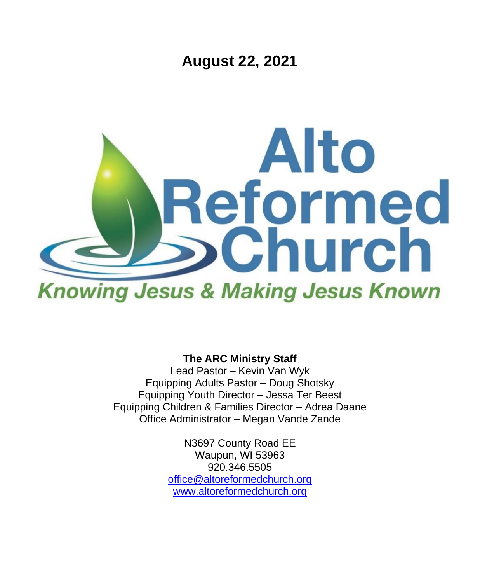**August 22, 2021**



**The ARC Ministry Staff**

Lead Pastor – Kevin Van Wyk Equipping Adults Pastor – Doug Shotsky Equipping Youth Director – Jessa Ter Beest Equipping Children & Families Director – Adrea Daane Office Administrator – Megan Vande Zande

> N3697 County Road EE Waupun, WI 53963 920.346.5505 [office@altoreformedchurch.org](mailto:office@altoreformedchurch.org) [www.altoreformedchurch.org](http://www.altoreformedchurch.org/)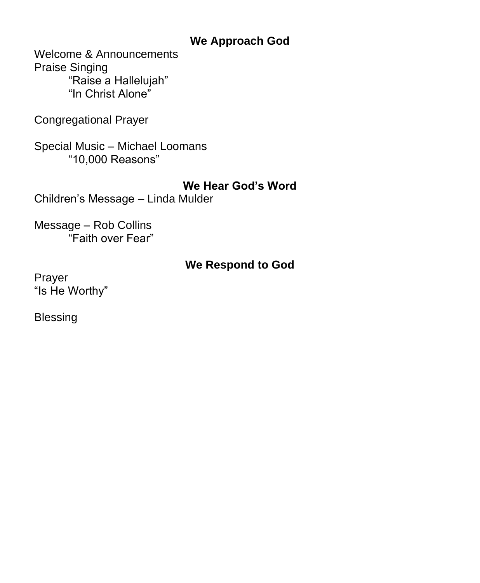#### **We Approach God**

Welcome & Announcements Praise Singing "Raise a Hallelujah" "In Christ Alone"

Congregational Prayer

Special Music – Michael Loomans "10,000 Reasons"

#### **We Hear God's Word**

Children's Message – Linda Mulder

Message – Rob Collins "Faith over Fear"

#### **We Respond to God**

Prayer "Is He Worthy"

Blessing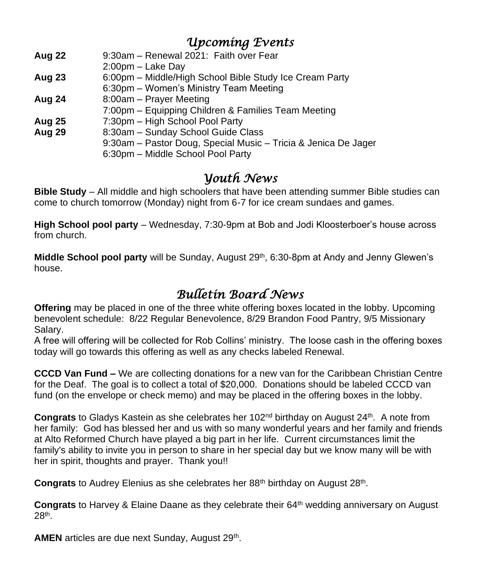### *Upcoming Events*

- **Aug 22** 9:30am Renewal 2021: Faith over Fear
- 2:00pm Lake Day
- **Aug 23** 6:00pm Middle/High School Bible Study Ice Cream Party
- 6:30pm Women's Ministry Team Meeting
- **Aug 24** 8:00am Prayer Meeting
- 7:00pm Equipping Children & Families Team Meeting
- **Aug 25** 7:30pm High School Pool Party
- **Aug 29** 8:30am Sunday School Guide Class
	- 9:30am Pastor Doug, Special Music Tricia & Jenica De Jager

6:30pm – Middle School Pool Party

## *Youth News*

**Bible Study** – All middle and high schoolers that have been attending summer Bible studies can come to church tomorrow (Monday) night from 6-7 for ice cream sundaes and games.

**High School pool party** – Wednesday, 7:30-9pm at Bob and Jodi Kloosterboer's house across from church.

**Middle School pool party** will be Sunday, August 29<sup>th</sup>, 6:30-8pm at Andy and Jenny Glewen's house.

# *Bulletin Board News*

**Offering** may be placed in one of the three white offering boxes located in the lobby. Upcoming benevolent schedule: 8/22 Regular Benevolence, 8/29 Brandon Food Pantry, 9/5 Missionary Salary.

A free will offering will be collected for Rob Collins' ministry. The loose cash in the offering boxes today will go towards this offering as well as any checks labeled Renewal.

**CCCD Van Fund –** We are collecting donations for a new van for the Caribbean Christian Centre for the Deaf. The goal is to collect a total of \$20,000. Donations should be labeled CCCD van fund (on the envelope or check memo) and may be placed in the offering boxes in the lobby.

Congrats to Gladys Kastein as she celebrates her 102<sup>nd</sup> birthday on August 24<sup>th</sup>. A note from her family: God has blessed her and us with so many wonderful years and her family and friends at Alto Reformed Church have played a big part in her life. Current circumstances limit the family's ability to invite you in person to share in her special day but we know many will be with her in spirit, thoughts and prayer. Thank you!!

Congrats to Audrey Elenius as she celebrates her 88<sup>th</sup> birthday on August 28<sup>th</sup>.

**Congrats** to Harvey & Elaine Daane as they celebrate their 64<sup>th</sup> wedding anniversary on August 28th .

AMEN articles are due next Sunday, August 29<sup>th</sup>.